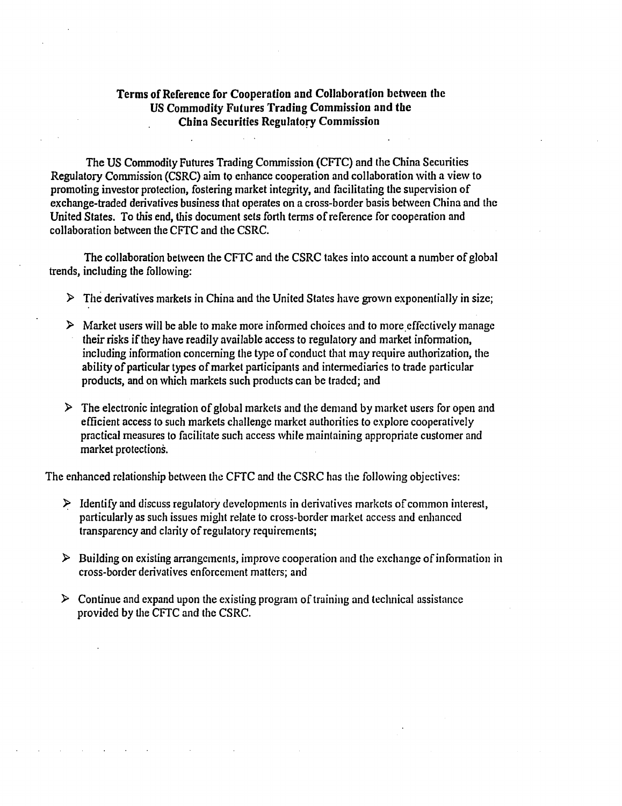## Terms of Reference for Cooperation and Collaboration between the US Commodity Futures Trading Commission and the China Securities Regulatory Commission

The US Commodity Futures Trading Commission (CFfC) and the China Securities Regulatory Commission (CSRC) aim to enhance cooperation and collaboration with a view to promoting investor protection, fostering market integrity, and facilitating the supervision of exchange-traded derivatives business that operates on a cross-border basis between China and the United States. To this end, this document sets forth terms of reference for cooperation and collaboration between the CFTC and the CSRC.

The collaboration between the CFTC and the CSRC takes into account a number of global trends, including the following:

- $\triangleright$  The derivatives markets in China and the United States have grown exponentially in size;
- $\triangleright$  Market users will be able to make more informed choices and to more effectively manage their risks ifthey have readily available access to regulatory and market information, including information concerning the type of conduct that may require authorization, the ability of particular types of market participants and intermediaries to trade particular products, and on which markets such products can be traded; and
- $\triangleright$  The electronic integration of global markets and the demand by market users for open and efficient access to such markets challenge market authorities to explore cooperatively practical measures lo facilitate such access while maintaining appropriate customer and market protections.

The enhanced relationship between the CFTC and the CSRC has the following objectives:

- $\triangleright$  Identify and discuss regulatory developments in derivatives markets of common interest, particularly as such issues might relate to cross-border market access and enhanced transparency and clarity of regulatory requirements;
- $\triangleright$  Building on existing arrangements, improve cooperation and the exchange of information in cross-border derivatives enforcement matters; and
- $\triangleright$  Continue and expand upon the existing program of training and technical assistance provided by the CFTC and the CSRC.